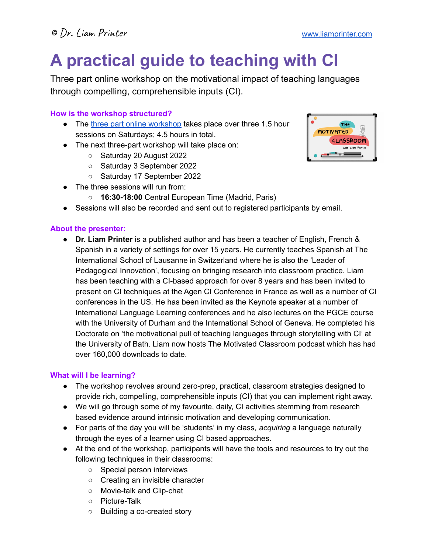# **A practical guide to teaching with CI**

Three part online workshop on the motivational impact of teaching languages through compelling, comprehensible inputs (CI).

## **How is the workshop structured?**

- The three part online [workshop](https://www.liamprinter.com/online-workshop---teaching-with-ci.html) takes place over three 1.5 hour sessions on Saturdays; 4.5 hours in total.
- The next three-part workshop will take place on:
	- Saturday 20 August 2022
	- Saturday 3 September 2022
	- Saturday 17 September 2022
- The three sessions will run from:
	- **16:30-18:00** Central European Time (Madrid, Paris)
- Sessions will also be recorded and sent out to registered participants by email.

#### **About the presenter:**

● **Dr. Liam Printer** is a published author and has been a teacher of English, French & Spanish in a variety of settings for over 15 years. He currently teaches Spanish at The International School of Lausanne in Switzerland where he is also the 'Leader of Pedagogical Innovation', focusing on bringing research into classroom practice. Liam has been teaching with a CI-based approach for over 8 years and has been invited to present on CI techniques at the Agen CI Conference in France as well as a number of CI conferences in the US. He has been invited as the Keynote speaker at a number of International Language Learning conferences and he also lectures on the PGCE course with the University of Durham and the International School of Geneva. He completed his Doctorate on 'the motivational pull of teaching languages through storytelling with CI' at the University of Bath. Liam now hosts The Motivated Classroom podcast which has had over 160,000 downloads to date.

#### **What will I be learning?**

- The workshop revolves around zero-prep, practical, classroom strategies designed to provide rich, compelling, comprehensible inputs (CI) that you can implement right away.
- We will go through some of my favourite, daily, CI activities stemming from research based evidence around intrinsic motivation and developing communication.
- For parts of the day you will be 'students' in my class, *acquiring* a language naturally through the eyes of a learner using CI based approaches.
- At the end of the workshop, participants will have the tools and resources to try out the following techniques in their classrooms:
	- Special person interviews
	- Creating an invisible character
	- Movie-talk and Clip-chat
	- Picture-Talk
	- Building a co-created story

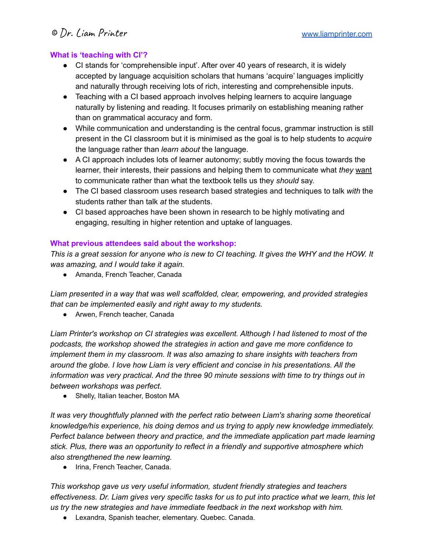#### **What is 'teaching with CI'?**

- CI stands for 'comprehensible input'. After over 40 years of research, it is widely accepted by language acquisition scholars that humans 'acquire' languages implicitly and naturally through receiving lots of rich, interesting and comprehensible inputs.
- Teaching with a CI based approach involves helping learners to acquire language naturally by listening and reading. It focuses primarily on establishing meaning rather than on grammatical accuracy and form.
- While communication and understanding is the central focus, grammar instruction is still present in the CI classroom but it is minimised as the goal is to help students to *acquire* the language rather than *learn about* the language.
- A CI approach includes lots of learner autonomy; subtly moving the focus towards the learner, their interests, their passions and helping them to communicate what *they* want to communicate rather than what the textbook tells us they *should* say.
- The CI based classroom uses research based strategies and techniques to talk *with* the students rather than talk *at* the students.
- CI based approaches have been shown in research to be highly motivating and engaging, resulting in higher retention and uptake of languages.

## **What previous attendees said about the workshop:**

This is a great session for anyone who is new to CI teaching. It gives the WHY and the HOW. It *was amazing, and I would take it again.*

● Amanda, French Teacher, Canada

*Liam presented in a way that was well scaffolded, clear, empowering, and provided strategies that can be implemented easily and right away to my students.*

● Arwen, French teacher, Canada

*Liam Printer's workshop on CI strategies was excellent. Although I had listened to most of the podcasts, the workshop showed the strategies in action and gave me more confidence to implement them in my classroom. It was also amazing to share insights with teachers from around the globe. I love how Liam is very efficient and concise in his presentations. All the information was very practical. And the three 90 minute sessions with time to try things out in between workshops was perfect.*

● Shelly, Italian teacher, Boston MA

*It was very thoughtfully planned with the perfect ratio between Liam's sharing some theoretical knowledge/his experience, his doing demos and us trying to apply new knowledge immediately. Perfect balance between theory and practice, and the immediate application part made learning stick. Plus, there was an opportunity to reflect in a friendly and supportive atmosphere which also strengthened the new learning.*

● Irina, French Teacher, Canada.

*This workshop gave us very useful information, student friendly strategies and teachers* effectiveness. Dr. Liam gives very specific tasks for us to put into practice what we learn, this let *us try the new strategies and have immediate feedback in the next workshop with him.*

● Lexandra, Spanish teacher, elementary. Quebec. Canada.